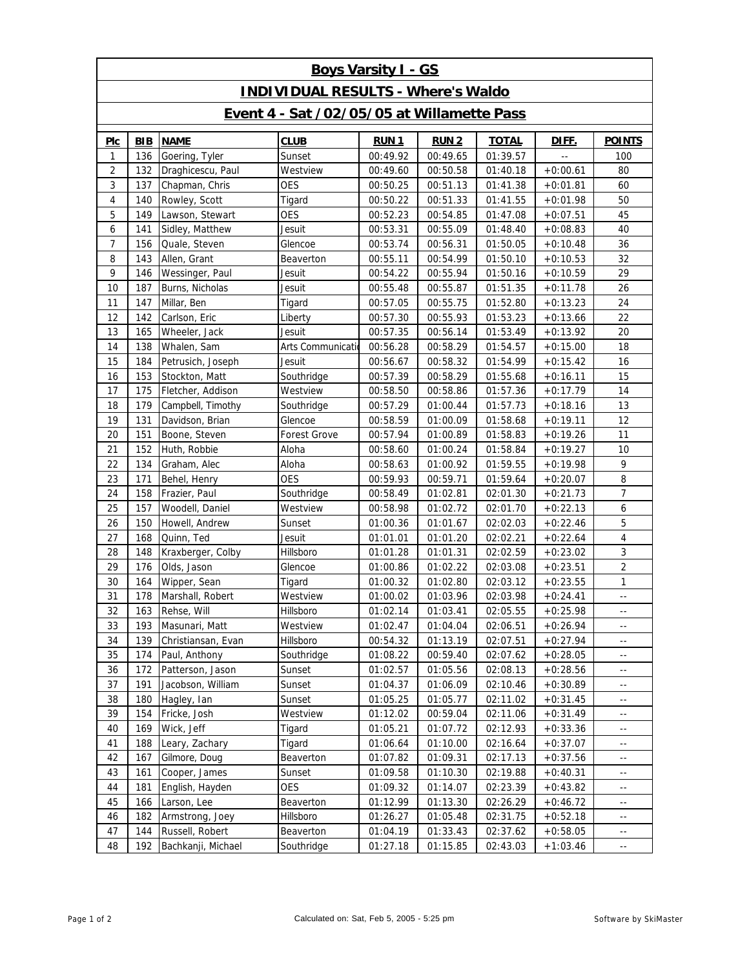| <b>Boys Varsity I - GS</b>                 |            |                               |                   |             |             |              |            |                                               |  |  |  |  |
|--------------------------------------------|------------|-------------------------------|-------------------|-------------|-------------|--------------|------------|-----------------------------------------------|--|--|--|--|
| <b>INDIVIDUAL RESULTS - Where's Waldo</b>  |            |                               |                   |             |             |              |            |                                               |  |  |  |  |
| Event 4 - Sat /02/05/05 at Willamette Pass |            |                               |                   |             |             |              |            |                                               |  |  |  |  |
| Plc                                        | <b>BIB</b> | <b>NAME</b>                   | <b>CLUB</b>       | <b>RUN1</b> | <b>RUN2</b> | <b>TOTAL</b> | DIFF.      | <b>POINTS</b>                                 |  |  |  |  |
| 1                                          | 136        | Goering, Tyler                | Sunset            | 00:49.92    | 00:49.65    | 01:39.57     |            | 100                                           |  |  |  |  |
| 2                                          | 132        | Draghicescu, Paul             | Westview          | 00:49.60    | 00:50.58    | 01:40.18     | $+0:00.61$ | 80                                            |  |  |  |  |
| 3                                          | 137        | <b>OES</b><br>Chapman, Chris  |                   | 00:50.25    | 00:51.13    | 01:41.38     | $+0:01.81$ | 60                                            |  |  |  |  |
| 4                                          | 140        | Rowley, Scott                 | Tigard            | 00:50.22    | 00:51.33    | 01:41.55     | $+0:01.98$ | 50                                            |  |  |  |  |
| 5                                          | 149        | Lawson, Stewart<br><b>OES</b> |                   | 00:52.23    | 00:54.85    | 01:47.08     | $+0:07.51$ | 45                                            |  |  |  |  |
| 6                                          | 141        | Sidley, Matthew               | Jesuit            | 00:53.31    | 00:55.09    | 01:48.40     | $+0:08.83$ | 40                                            |  |  |  |  |
| 7                                          | 156        | Quale, Steven                 | Glencoe           | 00:53.74    | 00:56.31    | 01:50.05     | $+0:10.48$ | 36                                            |  |  |  |  |
| 8                                          | 143        | Allen, Grant                  | Beaverton         | 00:55.11    | 00:54.99    | 01:50.10     | $+0:10.53$ | 32                                            |  |  |  |  |
| 9                                          | 146        | Wessinger, Paul               | Jesuit            | 00:54.22    | 00:55.94    | 01:50.16     | $+0:10.59$ | 29                                            |  |  |  |  |
| 10                                         | 187        | Burns, Nicholas               | Jesuit            | 00:55.48    | 00:55.87    | 01:51.35     | $+0:11.78$ | 26                                            |  |  |  |  |
| 11                                         | 147        | Millar, Ben                   | Tigard            | 00:57.05    | 00:55.75    | 01:52.80     | $+0:13.23$ | 24                                            |  |  |  |  |
| 12                                         | 142        | Carlson, Eric                 | Liberty           | 00:57.30    | 00:55.93    | 01:53.23     | $+0:13.66$ | 22                                            |  |  |  |  |
| 13                                         | 165        | Wheeler, Jack                 | Jesuit            | 00:57.35    | 00:56.14    | 01:53.49     | $+0:13.92$ | 20                                            |  |  |  |  |
| 14                                         | 138        | Whalen, Sam                   | Arts Communicatio | 00:56.28    | 00:58.29    | 01:54.57     | $+0:15.00$ | 18                                            |  |  |  |  |
| 15                                         | 184        | Petrusich, Joseph             | Jesuit            | 00:56.67    | 00:58.32    | 01:54.99     | $+0:15.42$ | 16                                            |  |  |  |  |
| 16                                         | 153        | Stockton, Matt                | Southridge        | 00:57.39    | 00:58.29    | 01:55.68     | $+0:16.11$ | 15                                            |  |  |  |  |
| 17                                         | 175        | Fletcher, Addison             | Westview          | 00:58.50    | 00:58.86    | 01:57.36     | $+0:17.79$ | 14                                            |  |  |  |  |
| 18                                         | 179        | Campbell, Timothy             | Southridge        | 00:57.29    | 01:00.44    | 01:57.73     | $+0:18.16$ | 13                                            |  |  |  |  |
| 19                                         | 131        | Davidson, Brian               | Glencoe           | 00:58.59    | 01:00.09    | 01:58.68     | $+0:19.11$ | 12                                            |  |  |  |  |
| 20                                         | 151        | Boone, Steven                 | Forest Grove      | 00:57.94    | 01:00.89    | 01:58.83     | $+0:19.26$ | 11                                            |  |  |  |  |
| 21                                         | 152        | Huth, Robbie                  | Aloha             | 00:58.60    | 01:00.24    | 01:58.84     | $+0:19.27$ | 10                                            |  |  |  |  |
| 22                                         | 134        | Graham, Alec                  | Aloha             | 00:58.63    | 01:00.92    | 01:59.55     | $+0:19.98$ | 9                                             |  |  |  |  |
| 23                                         | 171        | <b>OES</b><br>Behel, Henry    |                   | 00:59.93    | 00:59.71    | 01:59.64     | $+0:20.07$ | 8                                             |  |  |  |  |
| 24                                         | 158        | Frazier, Paul                 | Southridge        | 00:58.49    | 01:02.81    | 02:01.30     | $+0:21.73$ | $\overline{7}$                                |  |  |  |  |
| 25                                         | 157        | Woodell, Daniel               | Westview          | 00:58.98    | 01:02.72    | 02:01.70     | $+0:22.13$ | 6                                             |  |  |  |  |
| 26                                         | 150        | Howell, Andrew                | Sunset            | 01:00.36    | 01:01.67    | 02:02.03     | $+0:22.46$ | $\mathbf 5$                                   |  |  |  |  |
| 27                                         | 168        | Quinn, Ted                    | Jesuit            | 01:01.01    | 01:01.20    | 02:02.21     | $+0:22.64$ | $\overline{4}$                                |  |  |  |  |
| 28                                         | 148        | Kraxberger, Colby             | Hillsboro         | 01:01.28    | 01:01.31    | 02:02.59     | $+0:23.02$ | $\sqrt{3}$                                    |  |  |  |  |
| 29                                         | 176        | Olds, Jason                   | Glencoe           | 01:00.86    | 01:02.22    | 02:03.08     | $+0:23.51$ | $\overline{2}$                                |  |  |  |  |
| 30                                         | 164        | Wipper, Sean                  | Tigard            | 01:00.32    | 01:02.80    | 02:03.12     | $+0:23.55$ | $\mathbf{1}$                                  |  |  |  |  |
| 31                                         | 178        | Marshall, Robert              | Westview          | 01:00.02    | 01:03.96    | 02:03.98     | $+0:24.41$ | $\mathord{\hspace{1pt}\text{--}\hspace{1pt}}$ |  |  |  |  |
| 32                                         | 163        | Rehse, Will                   | Hillsboro         | 01:02.14    | 01:03.41    | 02:05.55     | $+0:25.98$ | $\mathord{\hspace{1pt}\text{--}\hspace{1pt}}$ |  |  |  |  |
| 33                                         | 193        | Masunari, Matt                | Westview          | 01:02.47    | 01:04.04    | 02:06.51     | $+0:26.94$ | $\overline{\phantom{a}}$                      |  |  |  |  |
| 34                                         | 139        | Christiansan, Evan            | Hillsboro         | 00:54.32    | 01:13.19    | 02:07.51     | $+0:27.94$ | ٠.                                            |  |  |  |  |
| 35                                         | 174        | Paul, Anthony                 | Southridge        | 01:08.22    | 00:59.40    | 02:07.62     | $+0:28.05$ | $\overline{\phantom{a}}$ .                    |  |  |  |  |
| 36                                         | 172        | Patterson, Jason              | Sunset            | 01:02.57    | 01:05.56    | 02:08.13     | $+0:28.56$ | ٠.                                            |  |  |  |  |
| 37                                         | 191        | Jacobson, William             | Sunset            | 01:04.37    | 01:06.09    | 02:10.46     | $+0:30.89$ | ٠.                                            |  |  |  |  |
| 38                                         | 180        | Hagley, Ian                   | Sunset            | 01:05.25    | 01:05.77    | 02:11.02     | $+0:31.45$ | ٠.                                            |  |  |  |  |
| 39                                         | 154        | Fricke, Josh                  | Westview          | 01:12.02    | 00:59.04    | 02:11.06     | $+0:31.49$ | ٠.                                            |  |  |  |  |
| 40                                         | 169        | Wick, Jeff                    | Tigard            | 01:05.21    | 01:07.72    | 02:12.93     | $+0:33.36$ | ٠.                                            |  |  |  |  |
| 41                                         | 188        | Leary, Zachary                | Tigard            | 01:06.64    | 01:10.00    | 02:16.64     | $+0:37.07$ | ٠.                                            |  |  |  |  |
| 42                                         | 167        | Gilmore, Doug                 | Beaverton         | 01:07.82    | 01:09.31    | 02:17.13     | $+0:37.56$ | ٠.                                            |  |  |  |  |
| 43                                         | 161        | Cooper, James                 | Sunset            | 01:09.58    | 01:10.30    | 02:19.88     | $+0:40.31$ | ٠.                                            |  |  |  |  |
| 44                                         | 181        | <b>OES</b><br>English, Hayden |                   | 01:09.32    | 01:14.07    | 02:23.39     | $+0:43.82$ | ٠.                                            |  |  |  |  |
| 45                                         | 166        | Larson, Lee                   | Beaverton         | 01:12.99    | 01:13.30    | 02:26.29     | $+0:46.72$ | ٠.                                            |  |  |  |  |
| 46                                         | 182        | Armstrong, Joey               | Hillsboro         | 01:26.27    | 01:05.48    | 02:31.75     | $+0:52.18$ | $\overline{\phantom{a}}$ .                    |  |  |  |  |
| 47                                         | 144        | Russell, Robert               | Beaverton         | 01:04.19    | 01:33.43    | 02:37.62     | $+0.58.05$ | $\overline{\phantom{a}}$                      |  |  |  |  |
| 48                                         | 192        | Bachkanji, Michael            | Southridge        | 01:27.18    | 01:15.85    | 02:43.03     | $+1:03.46$ | $\mathord{\hspace{1pt}\text{--}\hspace{1pt}}$ |  |  |  |  |